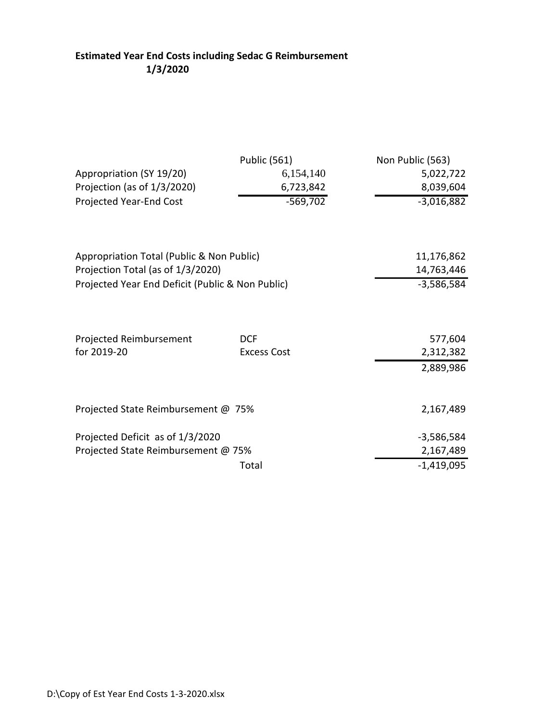### **Estimated Year End Costs including Sedac G Reimbursement 1/3/2020**

|                                                  | <b>Public (561)</b>              | Non Public (563)     |
|--------------------------------------------------|----------------------------------|----------------------|
| Appropriation (SY 19/20)                         | 6,154,140                        | 5,022,722            |
| Projection (as of 1/3/2020)                      | 6,723,842                        | 8,039,604            |
| Projected Year-End Cost                          | $-569,702$                       | $-3,016,882$         |
| Appropriation Total (Public & Non Public)        |                                  | 11,176,862           |
| Projection Total (as of 1/3/2020)                |                                  | 14,763,446           |
| Projected Year End Deficit (Public & Non Public) |                                  | $-3,586,584$         |
| Projected Reimbursement<br>for 2019-20           | <b>DCF</b><br><b>Excess Cost</b> | 577,604<br>2,312,382 |
|                                                  |                                  | 2,889,986            |
| Projected State Reimbursement @ 75%              |                                  | 2,167,489            |
| Projected Deficit as of 1/3/2020                 |                                  | $-3,586,584$         |
| Projected State Reimbursement @ 75%              |                                  | 2,167,489            |
|                                                  | Total                            | $-1,419,095$         |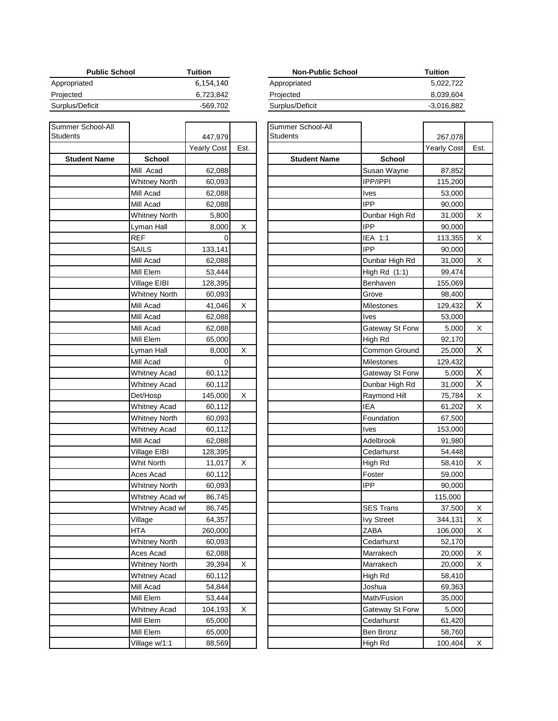| <b>Public School</b> | Tuition   | <b>Non-Public School</b> | Tuition  |
|----------------------|-----------|--------------------------|----------|
| Appropriated         | 6,154,140 | Appropriated             | 5.022    |
| Projected            | 6.723.842 | Projected                | 8.039    |
| Surplus/Deficit      | -569.702  | Surplus/Deficit          | $-3,016$ |

| Summer School-All<br>Students |                      | 447,979     |      | Summer School-All<br>Students |                   |
|-------------------------------|----------------------|-------------|------|-------------------------------|-------------------|
|                               |                      | Yearly Cost | Est. |                               |                   |
| <b>Student Name</b>           | <b>School</b>        |             |      | <b>Student Name</b>           | School            |
|                               | Mill Acad            | 62,088      |      |                               | Susan Wayn        |
|                               | <b>Whitney North</b> | 60,093      |      |                               | IPP/IPPI          |
|                               | Mill Acad            | 62,088      |      |                               | Ives              |
|                               | Mill Acad            | 62,088      |      |                               | <b>IPP</b>        |
|                               | <b>Whitney North</b> | 5,800       |      |                               | Dunbar High       |
|                               | Lyman Hall           | 8,000       | X    |                               | <b>IPP</b>        |
|                               | <b>REF</b>           | 0           |      |                               | IEA 1:1           |
|                               | SAILS                | 133,141     |      |                               | <b>IPP</b>        |
|                               | Mill Acad            | 62,088      |      |                               | Dunbar High       |
|                               | Mill Elem            | 53,444      |      |                               | High Rd (1:1      |
|                               | Village EIBI         | 128,395     |      |                               | Benhaven          |
|                               | <b>Whitney North</b> | 60,093      |      |                               | Grove             |
|                               | Mill Acad            | 41,046      | Χ    |                               | <b>Milestones</b> |
|                               | Mill Acad            | 62,088      |      |                               | <b>Ives</b>       |
|                               | Mill Acad            | 62,088      |      |                               | Gateway St F      |
|                               | Mill Elem            | 65,000      |      |                               | High Rd           |
|                               | Lyman Hall           | 8,000       | Χ    |                               | Common Gro        |
|                               | Mill Acad            | $\Omega$    |      |                               | Milestones        |
|                               | <b>Whitney Acad</b>  | 60,112      |      |                               | Gateway St F      |
|                               | <b>Whitney Acad</b>  | 60,112      |      |                               | Dunbar High       |
|                               | Det/Hosp             | 145,000     | X    |                               | Raymond Hil       |
|                               | <b>Whitney Acad</b>  | 60,112      |      |                               | <b>IEA</b>        |
|                               | <b>Whitney North</b> | 60,093      |      |                               | Foundation        |
|                               | <b>Whitney Acad</b>  | 60,112      |      |                               | <b>Ives</b>       |
|                               | Mill Acad            | 62,088      |      |                               | Adelbrook         |
|                               | Village EIBI         | 128,395     |      |                               | Cedarhurst        |
|                               | <b>Whit North</b>    | 11,017      | X    |                               | High Rd           |
|                               | Aces Acad            | 60,112      |      |                               | Foster            |
|                               | <b>Whitney North</b> | 60,093      |      |                               | <b>IPP</b>        |
|                               | Whitney Acad w/      | 86,745      |      |                               |                   |
|                               | Whitney Acad w/      | 86,745      |      |                               | <b>SES Trans</b>  |
|                               | Village              | 64,357      |      |                               | <b>Ivy Street</b> |
|                               | <b>HTA</b>           | 260,000     |      |                               | ZABA              |
|                               | <b>Whitney North</b> | 60,093      |      |                               | Cedarhurst        |
|                               | Aces Acad            | 62,088      |      |                               | Marrakech         |
|                               | <b>Whitney North</b> | 39,394      | X    |                               | Marrakech         |
|                               | <b>Whitney Acad</b>  | 60,112      |      |                               | High Rd           |
|                               | Mill Acad            | 54,844      |      |                               | Joshua            |
|                               | Mill Elem            | 53,444      |      |                               | Math/Fusion       |
|                               | <b>Whitney Acad</b>  | 104,193     | X    |                               | Gateway St F      |
|                               | Mill Elem            | 65,000      |      |                               | Cedarhurst        |
|                               | Mill Elem            | 65,000      |      |                               | Ben Bronz         |
|                               | Village w/1:1        | 88,569      |      |                               | High Rd           |

| Tuition   | <b>Non-Public School</b> | Tuition      |
|-----------|--------------------------|--------------|
| 6,154,140 | Appropriated             | 5.022.722    |
| 6,723,842 | Projected                | 8,039,604    |
| -569.702  | Surplus/Deficit          | $-3,016,882$ |
|           |                          |              |

|                                      |                    |      | Summer School-All<br><b>Students</b> |                   |                    |      |
|--------------------------------------|--------------------|------|--------------------------------------|-------------------|--------------------|------|
|                                      | 447,979            | Est. |                                      |                   | 267,078            |      |
| <b>School</b>                        | <b>Yearly Cost</b> |      | <b>Student Name</b>                  | <b>School</b>     | <b>Yearly Cost</b> | Est. |
| Mill Acad                            | 62,088             |      |                                      | Susan Wayne       | 87,852             |      |
| <b>Whitney North</b>                 |                    |      |                                      | <b>IPP/IPPI</b>   |                    |      |
| Mill Acad                            | 60,093             |      |                                      | Ives              | 115,200            |      |
| Mill Acad                            | 62,088             |      |                                      | <b>IPP</b>        | 53,000             |      |
| <b>Whitney North</b>                 | 62,088             |      |                                      | Dunbar High Rd    | 90,000<br>31,000   | х    |
|                                      | 5,800<br>8,000     | х    |                                      | <b>IPP</b>        |                    |      |
| Lyman Hall<br>REF                    | 0                  |      |                                      | IEA 1:1           | 90,000             | х    |
| <b>SAILS</b>                         | 133,141            |      |                                      | <b>IPP</b>        | 113,355<br>90,000  |      |
| Mill Acad                            | 62,088             |      |                                      | Dunbar High Rd    | 31,000             | х    |
| Mill Elem                            | 53,444             |      |                                      | High $Rd(1:1)$    | 99,474             |      |
|                                      |                    |      |                                      |                   |                    |      |
| Village EIBI<br><b>Whitney North</b> | 128,395<br>60,093  |      |                                      | Benhaven<br>Grove | 155,069<br>98,400  |      |
| Mill Acad                            | 41,046             | X    |                                      | Milestones        | 129,432            | X    |
| Mill Acad                            | 62,088             |      |                                      | Ives              | 53,000             |      |
| Mill Acad                            | 62,088             |      |                                      | Gateway St Forw   | 5,000              | х    |
| Mill Elem                            | 65,000             |      |                                      | High Rd           | 92,170             |      |
| Lyman Hall                           | 8,000              | X    |                                      | Common Ground     | 25,000             | X    |
| Mill Acad                            | 0                  |      |                                      | Milestones        | 129,432            |      |
| <b>Whitney Acad</b>                  | 60,112             |      |                                      | Gateway St Forw   | 5,000              | Х    |
| <b>Whitney Acad</b>                  | 60,112             |      |                                      | Dunbar High Rd    | 31,000             | X    |
| Det/Hosp                             | 145,000            | х    |                                      | Raymond Hill      | 75,784             | X    |
| <b>Whitney Acad</b>                  | 60,112             |      |                                      | <b>IEA</b>        | 61,202             | х    |
| <b>Whitney North</b>                 | 60,093             |      |                                      | Foundation        | 67,500             |      |
| <b>Whitney Acad</b>                  | 60,112             |      |                                      | Ives              | 153,000            |      |
| Mill Acad                            | 62,088             |      |                                      | Adelbrook         | 91,980             |      |
| Village EIBI                         | 128,395            |      |                                      | Cedarhurst        | 54,448             |      |
| Whit North                           | 11,017             | X    |                                      | High Rd           | 58,410             | х    |
| Aces Acad                            | 60,112             |      |                                      | Foster            | 59,000             |      |
| <b>Whitney North</b>                 | 60,093             |      |                                      | IPP               | 90,000             |      |
| Whitney Acad w/                      | 86,745             |      |                                      |                   | 115,000            |      |
| Whitney Acad w/                      | 86,745             |      |                                      | <b>SES Trans</b>  | 37,500             | х    |
| Village                              | 64,357             |      |                                      | <b>Ivy Street</b> | 344,131            | х    |
| HTA                                  | 260,000            |      |                                      | ZABA              | 106,000            | х    |
| <b>Whitney North</b>                 | 60,093             |      |                                      | Cedarhurst        | 52,170             |      |
| Aces Acad                            | 62,088             |      |                                      | Marrakech         | 20,000             | х    |
| <b>Whitney North</b>                 | 39,394             | х    |                                      | Marrakech         | 20,000             | х    |
| <b>Whitney Acad</b>                  | 60,112             |      |                                      | High Rd           | 58,410             |      |
| Mill Acad                            | 54,844             |      |                                      | Joshua            | 69,363             |      |
| Mill Elem                            | 53,444             |      |                                      | Math/Fusion       | 35,000             |      |
| <b>Whitney Acad</b>                  | 104,193            | X    |                                      | Gateway St Forw   | 5,000              |      |
| Mill Elem                            | 65,000             |      |                                      | Cedarhurst        | 61,420             |      |
| Mill Elem                            | 65,000             |      |                                      | Ben Bronz         | 58,760             |      |
| Village w/1:1                        | 88,569             |      |                                      | High Rd           | 100,404            | х    |
|                                      |                    |      |                                      |                   |                    |      |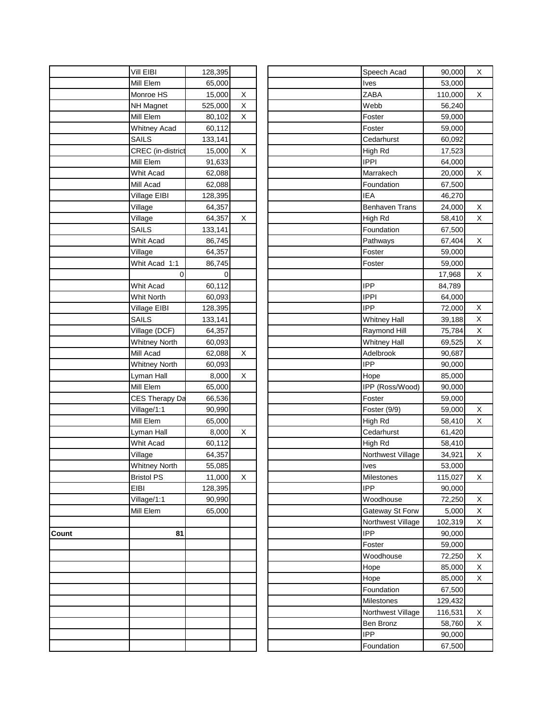|       | Vill EIBI                | 128,395     |   |  | Speech Acad           | 90,000  |
|-------|--------------------------|-------------|---|--|-----------------------|---------|
|       | Mill Elem                | 65,000      |   |  | Ives                  | 53,000  |
|       | Monroe HS                | 15,000      | Χ |  | ZABA                  | 110,000 |
|       | <b>NH Magnet</b>         | 525,000     | X |  | Webb                  | 56,240  |
|       | Mill Elem                | 80,102      | X |  | Foster                | 59,000  |
|       | <b>Whitney Acad</b>      | 60,112      |   |  | Foster                | 59,000  |
|       | <b>SAILS</b>             | 133,141     |   |  | Cedarhurst            | 60,092  |
|       | <b>CREC</b> (in-district | 15,000      | X |  | High Rd               | 17,523  |
|       | Mill Elem                | 91,633      |   |  | <b>IPPI</b>           | 64,000  |
|       | Whit Acad                | 62,088      |   |  | Marrakech             | 20,000  |
|       | Mill Acad                | 62,088      |   |  | Foundation            | 67,500  |
|       | Village EIBI             | 128,395     |   |  | <b>IEA</b>            | 46,270  |
|       | Village                  | 64,357      |   |  | <b>Benhaven Trans</b> | 24,000  |
|       | Village                  | 64,357      | X |  | High Rd               | 58,410  |
|       | SAILS                    | 133,141     |   |  | Foundation            | 67,500  |
|       | Whit Acad                | 86,745      |   |  | Pathways              | 67,404  |
|       | Village                  | 64,357      |   |  | Foster                | 59,000  |
|       | Whit Acad 1:1            | 86,745      |   |  | Foster                | 59,000  |
|       | 0                        | $\mathbf 0$ |   |  |                       | 17,968  |
|       | Whit Acad                |             |   |  | <b>IPP</b>            | 84,789  |
|       |                          | 60,112      |   |  | <b>IPPI</b>           |         |
|       | Whit North               | 60,093      |   |  | <b>IPP</b>            | 64,000  |
|       | Village EIBI             | 128,395     |   |  |                       | 72,000  |
|       | <b>SAILS</b>             | 133,141     |   |  | <b>Whitney Hall</b>   | 39,188  |
|       | Village (DCF)            | 64,357      |   |  | Raymond Hill          | 75,784  |
|       | <b>Whitney North</b>     | 60,093      |   |  | <b>Whitney Hall</b>   | 69,525  |
|       | Mill Acad                | 62,088      | X |  | Adelbrook             | 90,687  |
|       | <b>Whitney North</b>     | 60,093      |   |  | <b>IPP</b>            | 90,000  |
|       | Lyman Hall               | 8,000       | X |  | Hope                  | 85,000  |
|       | Mill Elem                | 65,000      |   |  | IPP (Ross/Wood)       | 90,000  |
|       | <b>CES Therapy Da</b>    | 66,536      |   |  | Foster                | 59,000  |
|       | Village/1:1              | 90,990      |   |  | Foster (9/9)          | 59,000  |
|       | Mill Elem                | 65,000      |   |  | High Rd               | 58,410  |
|       | Lyman Hall               | 8,000       | X |  | Cedarhurst            | 61,420  |
|       | Whit Acad                | 60,112      |   |  | High Rd               | 58,410  |
|       | Village                  | 64,357      |   |  | Northwest Village     | 34,921  |
|       | <b>Whitney North</b>     | 55,085      |   |  | Ives                  | 53,000  |
|       | <b>Bristol PS</b>        | 11,000      | X |  | Milestones            | 115,027 |
|       | EIBI                     | 128,395     |   |  | <b>IPP</b>            | 90,000  |
|       | Village/1:1              | 90,990      |   |  | Woodhouse             | 72,250  |
|       | Mill Elem                | 65,000      |   |  | Gateway St Forw       | 5,000   |
|       |                          |             |   |  | Northwest Village     | 102,319 |
| Count | 81                       |             |   |  | <b>IPP</b>            | 90,000  |
|       |                          |             |   |  | Foster                | 59,000  |
|       |                          |             |   |  | Woodhouse             | 72,250  |
|       |                          |             |   |  | Hope                  | 85,000  |
|       |                          |             |   |  | Hope                  | 85,000  |
|       |                          |             |   |  | Foundation            | 67,500  |
|       |                          |             |   |  | Milestones            | 129,432 |
|       |                          |             |   |  | Northwest Village     | 116,531 |
|       |                          |             |   |  | Ben Bronz             | 58,760  |
|       |                          |             |   |  | <b>IPP</b>            | 90,000  |
|       |                          |             |   |  | Foundation            | 67,500  |
|       |                          |             |   |  |                       |         |

| Vill EIBI            | 128,395           |   | Speech Acad<br>90,000                 | х |
|----------------------|-------------------|---|---------------------------------------|---|
| Mill Elem            | 65,000            |   | 53,000<br>Ives                        |   |
| Monroe HS            | 15,000            | х | ZABA<br>110,000                       | х |
| <b>NH Magnet</b>     | 525,000           | х | Webb<br>56,240                        |   |
| Mill Elem            | 80,102            | X | Foster<br>59,000                      |   |
| <b>Whitney Acad</b>  | 60,112            |   | Foster<br>59,000                      |   |
| <b>SAILS</b>         | 133,141           |   | Cedarhurst<br>60,092                  |   |
| CREC (in-district    | 15,000            | х | High Rd<br>17,523                     |   |
| Mill Elem            | 91,633            |   | <b>IPPI</b><br>64,000                 |   |
| Whit Acad            | 62,088            |   | Marrakech<br>20,000                   | X |
| Mill Acad            | 62,088            |   | Foundation<br>67,500                  |   |
| Village EIBI         | 128,395           |   | <b>IEA</b><br>46,270                  |   |
| Village              | 64,357            |   | <b>Benhaven Trans</b><br>24,000       | х |
| Village              | 64,357            | X | High Rd<br>58,410                     | X |
| <b>SAILS</b>         | 133,141           |   | Foundation<br>67,500                  |   |
| Whit Acad            | 86,745            |   | Pathways<br>67,404                    | X |
| Village              | 64,357            |   | Foster<br>59,000                      |   |
| Whit Acad 1:1        | 86,745            |   | 59,000<br>Foster                      |   |
| 0                    | 0                 |   | 17,968                                | х |
| Whit Acad            | 60,112            |   | <b>IPP</b><br>84,789                  |   |
| Whit North           | 60,093            |   | IPPI<br>64,000                        |   |
| Village EIBI         | 128,395           |   | <b>IPP</b><br>72,000                  | X |
| <b>SAILS</b>         | 133,141           |   | <b>Whitney Hall</b><br>39,188         | X |
| Village (DCF)        | 64,357            |   | Raymond Hill<br>75,784                | х |
| <b>Whitney North</b> | 60,093            |   | <b>Whitney Hall</b><br>69,525         | X |
| Mill Acad            | 62,088            | X | Adelbrook<br>90,687                   |   |
| <b>Whitney North</b> | 60,093            |   | <b>IPP</b><br>90,000                  |   |
| Lyman Hall           | 8,000             | х | 85,000<br>Hope                        |   |
| Mill Elem            | 65,000            |   | IPP (Ross/Wood)<br>90,000             |   |
| CES Therapy Da       | 66,536            |   | Foster<br>59,000                      |   |
| Village/1:1          | 90,990            |   | Foster (9/9)<br>59,000                | х |
| Mill Elem            | 65,000            |   | 58,410<br>High Rd                     | X |
| Lyman Hall           | 8,000             | х | Cedarhurst<br>61,420                  |   |
| Whit Acad            |                   |   | High Rd                               |   |
| Village              | 60,112<br>64,357  |   | 58,410<br>Northwest Village<br>34,921 | х |
| <b>Whitney North</b> | 55,085            |   | 53,000<br>Ives                        |   |
| <b>Bristol PS</b>    | 11,000            | X | Milestones<br>115,027                 | х |
| EIBI                 |                   |   | <b>IPP</b><br>90,000                  |   |
| Village/1:1          | 128,395<br>90,990 |   | Woodhouse<br>72,250                   | X |
| Mill Elem            |                   |   |                                       |   |
|                      | 65,000            |   | Gateway St Forw<br>5,000              | х |
|                      |                   |   | Northwest Village<br>102,319          | х |
| 81                   |                   |   | <b>IPP</b><br>90,000                  |   |
|                      |                   |   | Foster<br>59,000                      |   |
|                      |                   |   | Woodhouse<br>72,250                   | Х |
|                      |                   |   | 85,000<br>Hope                        | X |
|                      |                   |   | Hope<br>85,000                        | X |
|                      |                   |   | Foundation<br>67,500                  |   |
|                      |                   |   | Milestones<br>129,432                 |   |
|                      |                   |   | Northwest Village<br>116,531          | х |
|                      |                   |   | Ben Bronz<br>58,760                   | X |
|                      |                   |   | <b>IPP</b><br>90,000                  |   |
|                      |                   |   | Foundation<br>67,500                  |   |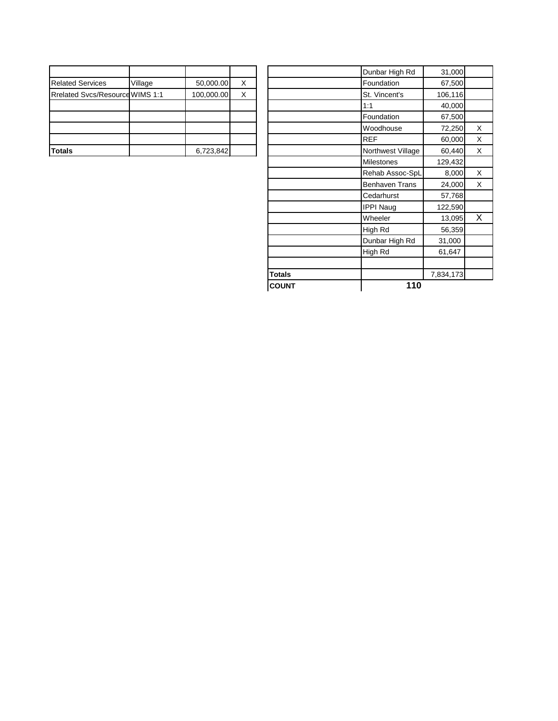|                                        |         |            |   |  | Dunbar High Rd    | 31,000  |
|----------------------------------------|---------|------------|---|--|-------------------|---------|
| <b>Related Services</b>                | Village | 50,000.00  | х |  | Foundation        | 67,500  |
| <b>Rrelated Svcs/Resource WIMS 1:1</b> |         | 100,000.00 | X |  | St. Vincent's     | 106,116 |
|                                        |         |            |   |  | 1:1               | 40,000  |
|                                        |         |            |   |  | Foundation        | 67,500  |
|                                        |         |            |   |  | Woodhouse         | 72,250  |
|                                        |         |            |   |  | <b>REF</b>        | 60,000  |
| <b>Totals</b>                          |         | 6,723,842  |   |  | Northwest Village | 60.440  |

|                                        |         |            |   | <b>COUNT</b>  | 110                   |           |          |
|----------------------------------------|---------|------------|---|---------------|-----------------------|-----------|----------|
|                                        |         |            |   | <b>Totals</b> |                       | 7,834,173 |          |
|                                        |         |            |   |               |                       |           |          |
|                                        |         |            |   |               | High Rd               | 61,647    |          |
|                                        |         |            |   |               | Dunbar High Rd        | 31,000    |          |
|                                        |         |            |   |               | High Rd               | 56,359    |          |
|                                        |         |            |   |               | Wheeler               | 13,095    | X        |
|                                        |         |            |   |               | <b>IPPI Naug</b>      | 122,590   |          |
|                                        |         |            |   |               | Cedarhurst            | 57,768    |          |
|                                        |         |            |   |               | <b>Benhaven Trans</b> | 24,000    | X        |
|                                        |         |            |   |               | Rehab Assoc-SpL       | 8,000     | X        |
|                                        |         |            |   |               | <b>Milestones</b>     | 129,432   |          |
| Totals                                 |         | 6,723,842  |   |               | Northwest Village     | 60,440    | $\times$ |
|                                        |         |            |   |               | <b>REF</b>            | 60,000    | X        |
|                                        |         |            |   |               | Woodhouse             | 72,250    | $\times$ |
|                                        |         |            |   |               | Foundation            | 67,500    |          |
|                                        |         |            |   |               | 1:1                   | 40,000    |          |
| <b>Rrelated Svcs/Resource WIMS 1:1</b> |         | 100,000.00 | X |               | St. Vincent's         | 106,116   |          |
| <b>Related Services</b>                | Village | 50,000.00  | X |               | Foundation            | 67,500    |          |
|                                        |         |            |   |               | Dunbar High Rd        | 31,000    |          |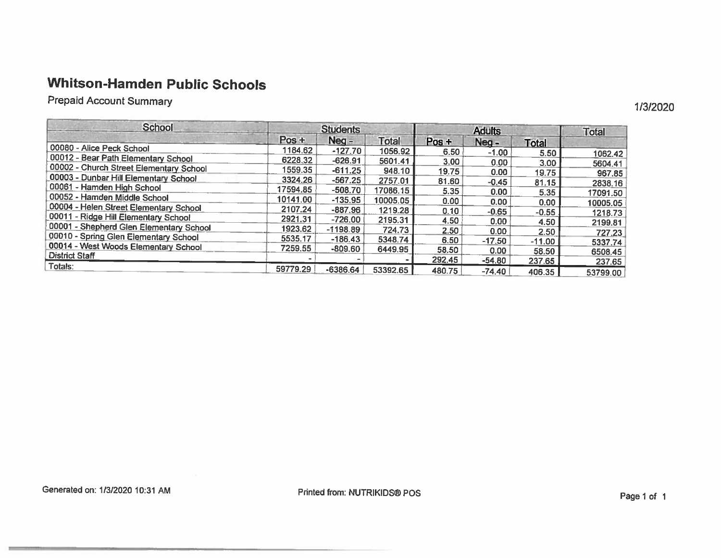# **Whitson-Hamden Public Schools**

**Prepaid Account Summary** 

| <b>School</b>                           | <b>Students</b> |            |              | <b>Adults</b>     |          |                   | <b>Total</b>        |
|-----------------------------------------|-----------------|------------|--------------|-------------------|----------|-------------------|---------------------|
|                                         | $Pos +$         | $Neq -$    | <b>Total</b> | $Pos +$           | Neg-     | <b>Total</b>      |                     |
| 00080 - Alice Peck School               | 1184.62         | $-127.70$  | 1056.92      | 6.50              | $-1.00$  | 5.50              | 1062.42             |
| 00012 - Bear Path Elementary School     | 6228.32         | $-626.91$  | 5601.41      | 3.00              | 0.00     | 3.00 <sub>1</sub> | 5604.41             |
| 00002 - Church Street Elementary School | 1559.35         | $-611.25$  | 948.10       | 19.75             | 0.00     | 19.75             | 967.85              |
| 00003 - Dunbar Hill Elementary School   | 3324.26         | $-567.25$  | 2757.01      | 81.60             | $-0.45$  | 81.15             |                     |
| 00061 - Hamden High School              | 17594.85        | $-508.70$  | 17086.15     | 5.35              | 0.00     | 5.35              | 2838.16<br>17091.50 |
| 00052 - Hamden Middle School            | 10141.00        | $-135.95$  | 10005.05     | 0.00 <sub>1</sub> | 0.00     | 0.00              |                     |
| 00004 - Helen Street Elementary School  | 2107.24         | $-887.96$  | 1219.28      | 0.10              | $-0.65$  | $-0.55$           | 10005.05            |
| 00011 - Ridge Hill Elementary School    | 2921.31         | $-726.00$  | 2195.31      | 4.50              | 0.00     |                   | 1218.73             |
| 00001 - Shepherd Glen Elementary School | 1923.62         | $-1198.89$ | 724.73       | 2.50              | 0.00     | 4.50              | 2199.81             |
| 00010 - Spring Glen Elementary School   | 5535.17         | $-186.43$  | 5348.74      | 6.50              | $-17.50$ | 2.50              | 727.23              |
| 00014 - West Woods Elementary School    | 7259.55         | $-809.60$  | 6449.95      | 58.50             |          | $-11.00$          | 5337.74             |
| <b>District Staff</b>                   |                 |            |              | 292.45            | 0.00     | 58.50             | 6508.45             |
| Totals:                                 | 59779.29        |            |              |                   | $-54.80$ | 237.65            | 237.65              |
|                                         |                 | $-6386.64$ | 53392.65     | 480.75            | $-74.40$ | 406.35            | 53799.00            |

1/3/2020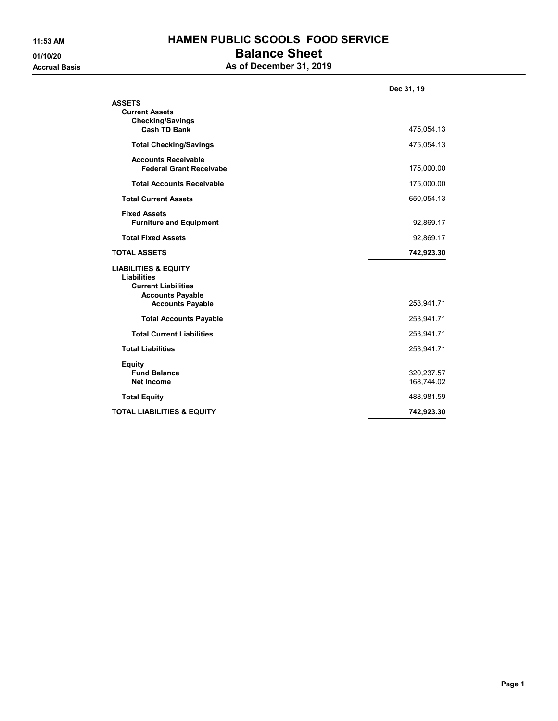## 11:53 AM HAMEN PUBLIC SCOOLS FOOD SERVICE 01/10/20 **Balance Sheet** As of December 31, 2019

|                                                                                                                                           | Dec 31, 19               |
|-------------------------------------------------------------------------------------------------------------------------------------------|--------------------------|
| <b>ASSETS</b><br><b>Current Assets</b><br><b>Checking/Savings</b><br><b>Cash TD Bank</b>                                                  | 475,054.13               |
| <b>Total Checking/Savings</b>                                                                                                             | 475,054.13               |
| <b>Accounts Receivable</b><br><b>Federal Grant Receivabe</b>                                                                              | 175,000.00               |
| <b>Total Accounts Receivable</b>                                                                                                          | 175,000.00               |
| <b>Total Current Assets</b>                                                                                                               | 650,054.13               |
| <b>Fixed Assets</b><br><b>Furniture and Equipment</b>                                                                                     | 92,869.17                |
| <b>Total Fixed Assets</b>                                                                                                                 | 92,869.17                |
| <b>TOTAL ASSETS</b>                                                                                                                       | 742,923.30               |
| <b>LIABILITIES &amp; EQUITY</b><br><b>Liabilities</b><br><b>Current Liabilities</b><br><b>Accounts Payable</b><br><b>Accounts Payable</b> | 253,941.71               |
| <b>Total Accounts Payable</b>                                                                                                             | 253,941.71               |
| <b>Total Current Liabilities</b>                                                                                                          | 253,941.71               |
| <b>Total Liabilities</b>                                                                                                                  | 253,941.71               |
| <b>Equity</b><br><b>Fund Balance</b><br><b>Net Income</b>                                                                                 | 320,237.57<br>168,744.02 |
| <b>Total Equity</b>                                                                                                                       | 488,981.59               |
| <b>TOTAL LIABILITIES &amp; EQUITY</b>                                                                                                     | 742.923.30               |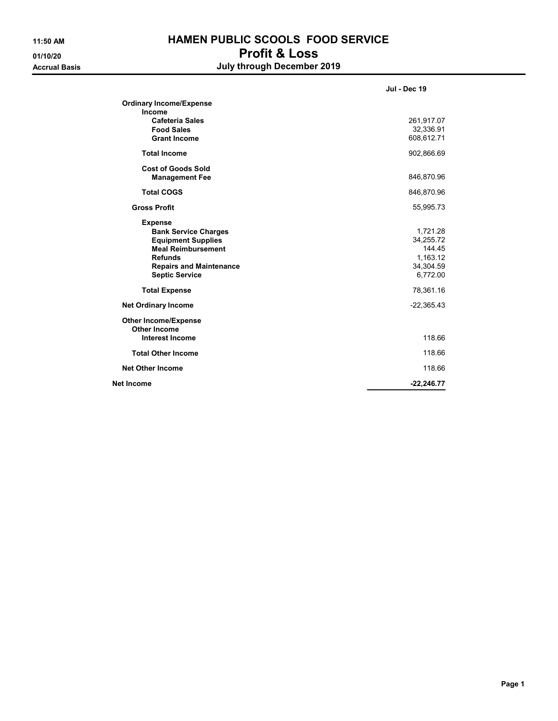## 11:50 AM **HAMEN PUBLIC SCOOLS FOOD SERVICE** 01/10/20 Profit & Loss Accrual Basis **Accrual Basis July through December 2019**

|                                                                                                                                                                                      | <b>Jul - Dec 19</b>                                                  |
|--------------------------------------------------------------------------------------------------------------------------------------------------------------------------------------|----------------------------------------------------------------------|
| <b>Ordinary Income/Expense</b><br>Income                                                                                                                                             |                                                                      |
| <b>Cafeteria Sales</b><br><b>Food Sales</b><br><b>Grant Income</b>                                                                                                                   | 261,917.07<br>32,336.91<br>608,612.71                                |
| <b>Total Income</b>                                                                                                                                                                  | 902,866.69                                                           |
| <b>Cost of Goods Sold</b><br><b>Management Fee</b>                                                                                                                                   | 846,870.96                                                           |
| <b>Total COGS</b>                                                                                                                                                                    | 846,870.96                                                           |
| <b>Gross Profit</b>                                                                                                                                                                  | 55,995.73                                                            |
| <b>Expense</b><br><b>Bank Service Charges</b><br><b>Equipment Supplies</b><br><b>Meal Reimbursement</b><br><b>Refunds</b><br><b>Repairs and Maintenance</b><br><b>Septic Service</b> | 1,721.28<br>34,255.72<br>144.45<br>1,163.12<br>34,304.59<br>6,772.00 |
| <b>Total Expense</b>                                                                                                                                                                 | 78,361.16                                                            |
| <b>Net Ordinary Income</b>                                                                                                                                                           | $-22,365.43$                                                         |
| <b>Other Income/Expense</b><br><b>Other Income</b><br><b>Interest Income</b>                                                                                                         | 118.66                                                               |
| <b>Total Other Income</b>                                                                                                                                                            | 118.66                                                               |
| <b>Net Other Income</b>                                                                                                                                                              | 118.66                                                               |
| Net Income                                                                                                                                                                           | $-22,246.77$                                                         |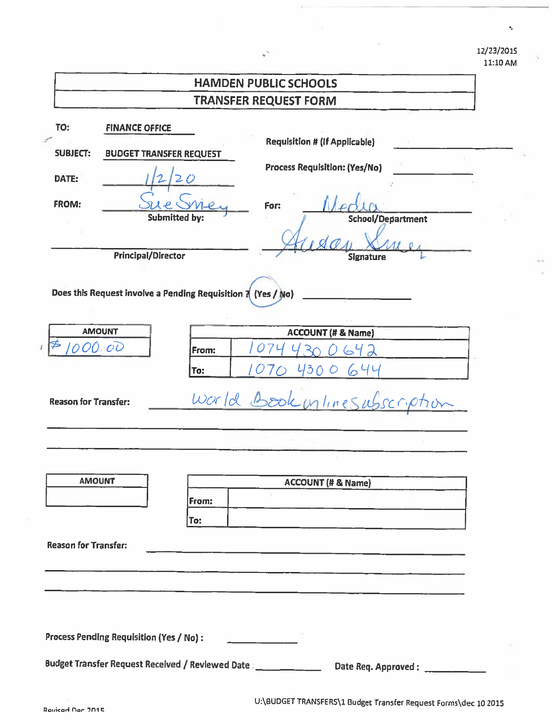12/23/2015 11:10 AM

k,

 $-1$ 

|                                          | <b>HAMDEN PUBLIC SCHOOLS</b>                                                                                                                                                          |
|------------------------------------------|---------------------------------------------------------------------------------------------------------------------------------------------------------------------------------------|
|                                          | <b>TRANSFER REQUEST FORM</b>                                                                                                                                                          |
| TO:<br><b>SUBJECT:</b><br>DATE:<br>FROM: | <b>FINANCE OFFICE</b><br><b>Requisition # (If Applicable)</b><br><b>BUDGET TRANSFER REQUEST</b><br>Process Requisition: (Yes/No)<br>For:<br><b>Submitted by:</b><br>School/Department |
|                                          | <b>Principal/Director</b><br><b>Signature</b>                                                                                                                                         |
|                                          | Does this Request involve a Pending Requisition 7 (Yes / No)                                                                                                                          |
| <b>AMOUNT</b>                            | <b>ACCOUNT (# &amp; Name)</b>                                                                                                                                                         |
| 000.00                                   | 642<br>From:                                                                                                                                                                          |
|                                          | 4300644<br>To:                                                                                                                                                                        |
| <b>Reason for Transfer:</b>              | World Book unlinesubscription                                                                                                                                                         |
|                                          |                                                                                                                                                                                       |
|                                          |                                                                                                                                                                                       |
| <b>AMOUNT</b>                            | <b>ACCOUNT (# &amp; Name)</b>                                                                                                                                                         |
|                                          | From:                                                                                                                                                                                 |
|                                          | To:                                                                                                                                                                                   |
| <b>Reason for Transfer:</b>              | <u> 1980 - Jan James, martin de la populación de la propia de la populación de la populación de la populación de</u>                                                                  |
|                                          |                                                                                                                                                                                       |
|                                          |                                                                                                                                                                                       |
|                                          |                                                                                                                                                                                       |
| Process Pending Requisition (Yes / No) : | <u> La Carlo de la Carlo de la Carlo de la Carlo de la Carlo de la Carlo de la Carlo de la Carlo de la Carlo de l</u>                                                                 |
|                                          | Date Req. Approved:                                                                                                                                                                   |

U:\BUDGET TRANSFERS\1 Budget Transfer Request Forms\dec 10 2015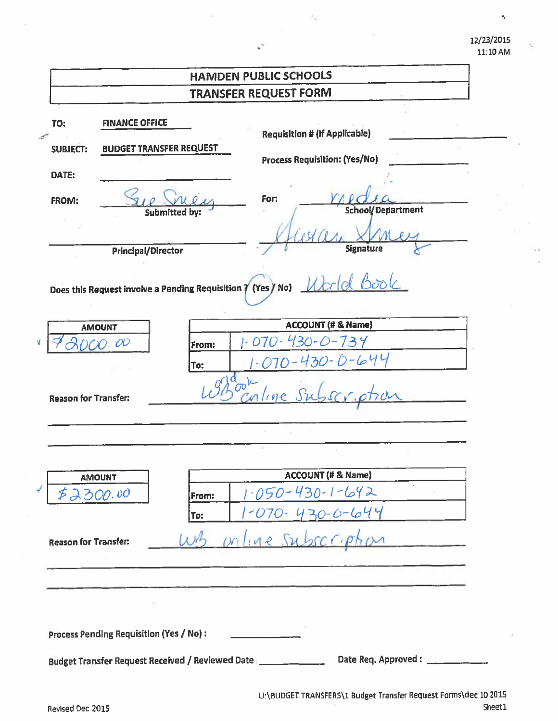#### 12/23/2015 11:10 AM

 $\tilde{\gamma}$ 

|                                                        |                                                         | <b>HAMDEN PUBLIC SCHOOLS</b>                                                                              |
|--------------------------------------------------------|---------------------------------------------------------|-----------------------------------------------------------------------------------------------------------|
|                                                        |                                                         | <b>TRANSFER REQUEST FORM</b>                                                                              |
| <b>TO:</b><br><b>SUBJECT:</b><br>DATE:<br><b>FROM:</b> | <b>FINANCE OFFICE</b><br><b>BUDGET TRANSFER REQUEST</b> | <b>Requisition # (If Applicable)</b><br>Process Requisition: (Yes/No)<br>For:                             |
|                                                        | <b>Submitted by:</b>                                    | School/Department<br><b>Signature</b>                                                                     |
|                                                        | Principal/Director                                      | Does this Request involve a Pending Requisition 7 (Yes / No)                                              |
|                                                        | <b>AMOUNT</b>                                           | <b>ACCOUNT (# &amp; Name)</b>                                                                             |
|                                                        | 00.00                                                   | $(30 - 0)$<br>$\mathcal{D}$<br>739<br>O7<br>From:                                                         |
| <b>Reason for Transfer:</b>                            |                                                         | 70-430-0-644<br>To:<br>ork<br>101e                                                                        |
|                                                        |                                                         |                                                                                                           |
|                                                        | <b>AMOUNT</b>                                           | ACCOUNT (# & Name)                                                                                        |
| \$2300.00                                              |                                                         | $\sim$<br>$1 - 050 - 430 - 1 - 642$<br>From:                                                              |
|                                                        |                                                         | 1-070-430-0-644<br>To:                                                                                    |
| <b>Reason for Transfer:</b>                            |                                                         | <u>mline</u> subscript                                                                                    |
|                                                        | <b>Process Pending Requisition (Yes / No):</b>          |                                                                                                           |
|                                                        |                                                         | Date Req. Approved: _____________<br>Budget Transfer Request Received / Reviewed Date   _________________ |

×,

v.